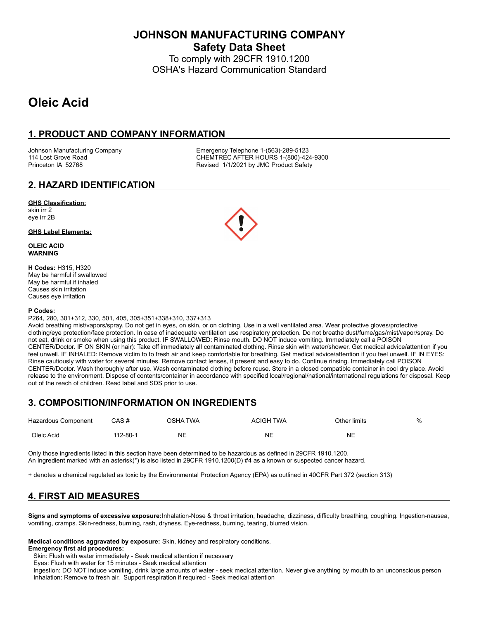**JOHNSON MANUFACTURING COMPANY Safety Data Sheet**

To comply with 29CFR 1910.1200 OSHA's Hazard Communication Standard

# **Oleic Acid**

## **1. PRODUCT AND COMPANY INFORMATION**

Johnson Manufacturing Company **Emergency Telephone 1-(563)-289-5123**<br>114 Lost Grove Road **COMPAN COMPANE CONTREC AFTER HOURS** 1-(800)-42 CHEMTREC AFTER HOURS 1-(800)-424-9300 Princeton IA 52768 **Revised 1/1/2021 by JMC Product Safety** 

### **2. HAZARD IDENTIFICATION**

#### **GHS Classification:**

skin irr 2 eye irr 2B

#### **GHS Label Elements:**

**OLEIC ACID WARNING**

**H Codes:** H315, H320 May be harmful if swallowed May be harmful if inhaled Causes skin irritation Causes eye irritation

#### **P Codes:**

P264, 280, 301+312, 330, 501, 405, 305+351+338+310, 337+313

Avoid breathing mist/vapors/spray. Do not get in eyes, on skin, or on clothing. Use in a well ventilated area. Wear protective gloves/protective clothing/eye protection/face protection. In case of inadequate ventilation use respiratory protection. Do not breathe dust/fume/gas/mist/vapor/spray. Do not eat, drink or smoke when using this product. IF SWALLOWED: Rinse mouth. DO NOT induce vomiting. Immediately call a POISON CENTER/Doctor. IF ON SKIN (or hair): Take off immediately all contaminated clothing. Rinse skin with water/shower. Get medical advice/attention if you feel unwell. IF INHALED: Remove victim to to fresh air and keep comfortable for breathing. Get medical advice/attention if you feel unwell. IF IN EYES: Rinse cautiously with water for several minutes. Remove contact lenses, if present and easy to do. Continue rinsing. Immediately call POISON CENTER/Doctor. Wash thoroughly after use. Wash contaminated clothing before reuse. Store in a closed compatible container in cool dry place. Avoid release to the environment. Dispose of contents/container in accordance with specified local/regional/national/international regulations for disposal. Keep out of the reach of children. Read label and SDS prior to use.

### **3. COMPOSITION/INFORMATION ON INGREDIENTS**

| Hazardous Component | CAS #    | OSHA TWA  | <b>ACIGH TWA</b> | Other limits | % |
|---------------------|----------|-----------|------------------|--------------|---|
| Oleic Acid          | 112-80-1 | <b>NE</b> | NE               | NE           |   |

Only those ingredients listed in this section have been determined to be hazardous as defined in 29CFR 1910.1200. An ingredient marked with an asterisk(\*) is also listed in 29CFR 1910.1200(D) #4 as a known or suspected cancer hazard.

+ denotes a chemical regulated as toxic by the Environmental Protection Agency (EPA) as outlined in 40CFR Part 372 (section 313)

## **4. FIRST AID MEASURES**

**Signs and symptoms of excessive exposure:**Inhalation-Nose & throat irritation, headache, dizziness, difficulty breathing, coughing. Ingestion-nausea, vomiting, cramps. Skin-redness, burning, rash, dryness. Eye-redness, burning, tearing, blurred vision.

**Medical conditions aggravated by exposure:** Skin, kidney and respiratory conditions.

#### **Emergency first aid procedures:**

Skin: Flush with water immediately - Seek medical attention if necessary

Eyes: Flush with water for 15 minutes - Seek medical attention

 Ingestion: DO NOT induce vomiting, drink large amounts of water - seek medical attention. Never give anything by mouth to an unconscious person Inhalation: Remove to fresh air. Support respiration if required - Seek medical attention

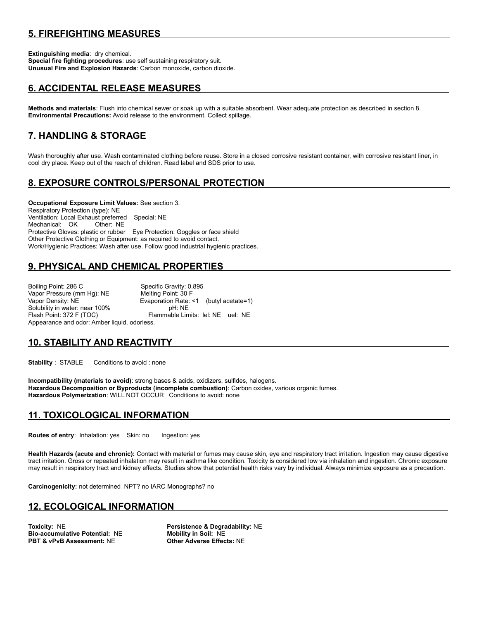## **5. FIREFIGHTING MEASURES**

**Extinguishing media**: dry chemical. **Special fire fighting procedures**: use self sustaining respiratory suit. **Unusual Fire and Explosion Hazards**: Carbon monoxide, carbon dioxide.

## **6. ACCIDENTAL RELEASE MEASURES**

**Methods and materials**: Flush into chemical sewer or soak up with a suitable absorbent. Wear adequate protection as described in section 8. **Environmental Precautions:** Avoid release to the environment. Collect spillage.

## **7. HANDLING & STORAGE**

Wash thoroughly after use. Wash contaminated clothing before reuse. Store in a closed corrosive resistant container, with corrosive resistant liner, in cool dry place. Keep out of the reach of children. Read label and SDS prior to use.

## **8. EXPOSURE CONTROLS/PERSONAL PROTECTION**

**Occupational Exposure Limit Values:** See section 3. Respiratory Protection (type): NE Ventilation: Local Exhaust preferred Special: NE Mechanical: OK Other: NE Protective Gloves: plastic or rubber Eye Protection: Goggles or face shield Other Protective Clothing or Equipment: as required to avoid contact. Work/Hygienic Practices: Wash after use. Follow good industrial hygienic practices.

## **9. PHYSICAL AND CHEMICAL PROPERTIES**

Boiling Point: 286 C Specific Gravity: 0.895 Vapor Pressure (mm Hg): NE Melting Point: 30 F Vapor Density: NE Evaporation Rate: <1 (butyl acetate=1) Solubility in water: near 100% pH: NE Flash Point: 372 F (TOC) Flammable Limits: lel: NE uel: NE Appearance and odor: Amber liquid, odorless.

## **10. STABILITY AND REACTIVITY**

**Stability** : STABLE Conditions to avoid : none

**Incompatibility (materials to avoid)**: strong bases & acids, oxidizers, sulfides, halogens. **Hazardous Decomposition or Byproducts (incomplete combustion)**: Carbon oxides, various organic fumes. **Hazardous Polymerization**: WILL NOT OCCUR Conditions to avoid: none

#### **11. TOXICOLOGICAL INFORMATION**

**Routes of entry: Inhalation: yes Skin: no Ingestion: yes** 

**Health Hazards (acute and chronic):** Contact with material or fumes may cause skin, eye and respiratory tract irritation. Ingestion may cause digestive tract irritation. Gross or repeated inhalation may result in asthma like condition. Toxicity is considered low via inhalation and ingestion. Chronic exposure may result in respiratory tract and kidney effects. Studies show that potential health risks vary by individual. Always minimize exposure as a precaution.

**Carcinogenicity:** not determined NPT? no IARC Monographs? no

#### **12. ECOLOGICAL INFORMATION**

**Toxicity:** NE **Persistence & Degradability:** NE **Bio-accumulative Potential: NE PBT & vPvB Assessment:** NE **Other Adverse Effects:** NE